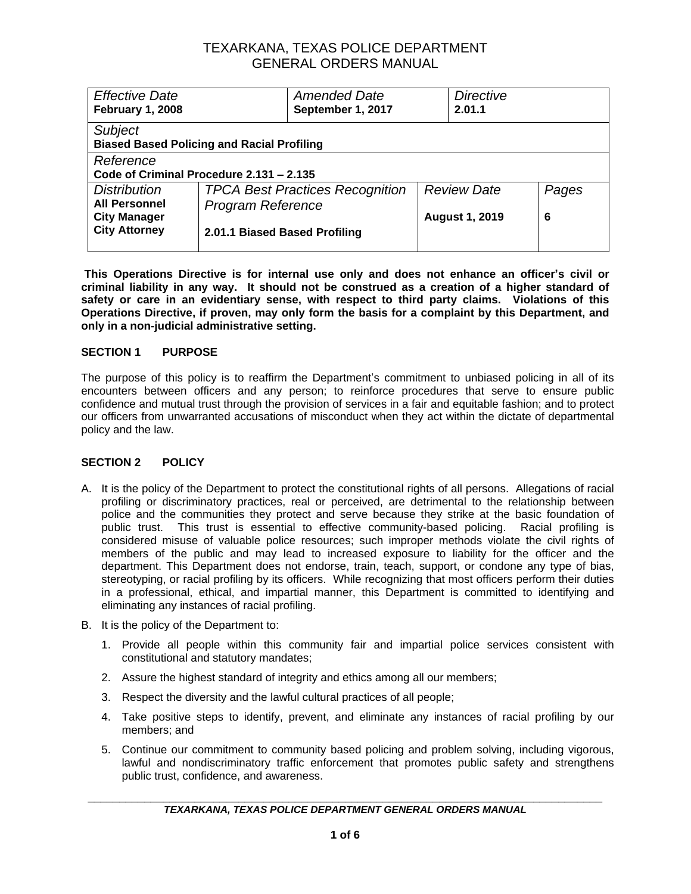| <b>Effective Date</b>                             |                               | <b>Amended Date</b>                    |                    | <b>Directive</b>      |       |
|---------------------------------------------------|-------------------------------|----------------------------------------|--------------------|-----------------------|-------|
| <b>February 1, 2008</b>                           |                               | September 1, 2017                      |                    | 2.01.1                |       |
| Subject                                           |                               |                                        |                    |                       |       |
| <b>Biased Based Policing and Racial Profiling</b> |                               |                                        |                    |                       |       |
| Reference                                         |                               |                                        |                    |                       |       |
| Code of Criminal Procedure 2.131 - 2.135          |                               |                                        |                    |                       |       |
| <b>Distribution</b>                               |                               | <b>TPCA Best Practices Recognition</b> | <b>Review Date</b> |                       | Pages |
| <b>All Personnel</b>                              | <b>Program Reference</b>      |                                        |                    |                       |       |
| <b>City Manager</b>                               |                               |                                        |                    | <b>August 1, 2019</b> | 6     |
| <b>City Attorney</b>                              | 2.01.1 Biased Based Profiling |                                        |                    |                       |       |
|                                                   |                               |                                        |                    |                       |       |

**This Operations Directive is for internal use only and does not enhance an officer's civil or criminal liability in any way. It should not be construed as a creation of a higher standard of safety or care in an evidentiary sense, with respect to third party claims. Violations of this Operations Directive, if proven, may only form the basis for a complaint by this Department, and only in a non-judicial administrative setting.**

### **SECTION 1 PURPOSE**

The purpose of this policy is to reaffirm the Department's commitment to unbiased policing in all of its encounters between officers and any person; to reinforce procedures that serve to ensure public confidence and mutual trust through the provision of services in a fair and equitable fashion; and to protect our officers from unwarranted accusations of misconduct when they act within the dictate of departmental policy and the law.

### **SECTION 2 POLICY**

- A. It is the policy of the Department to protect the constitutional rights of all persons. Allegations of racial profiling or discriminatory practices, real or perceived, are detrimental to the relationship between police and the communities they protect and serve because they strike at the basic foundation of public trust. This trust is essential to effective community-based policing. Racial profiling is considered misuse of valuable police resources; such improper methods violate the civil rights of members of the public and may lead to increased exposure to liability for the officer and the department. This Department does not endorse, train, teach, support, or condone any type of bias, stereotyping, or racial profiling by its officers. While recognizing that most officers perform their duties in a professional, ethical, and impartial manner, this Department is committed to identifying and eliminating any instances of racial profiling.
- B. It is the policy of the Department to:
	- 1. Provide all people within this community fair and impartial police services consistent with constitutional and statutory mandates;
	- 2. Assure the highest standard of integrity and ethics among all our members;
	- 3. Respect the diversity and the lawful cultural practices of all people;
	- 4. Take positive steps to identify, prevent, and eliminate any instances of racial profiling by our members; and
	- 5. Continue our commitment to community based policing and problem solving, including vigorous, lawful and nondiscriminatory traffic enforcement that promotes public safety and strengthens public trust, confidence, and awareness.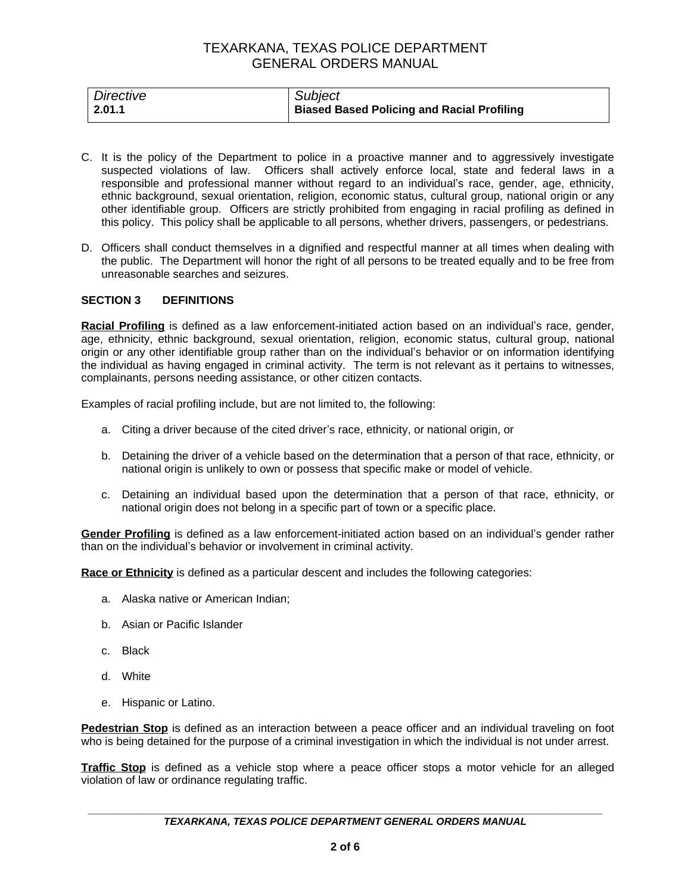| Directive      | Subject                                           |
|----------------|---------------------------------------------------|
| $\perp$ 2.01.1 | <b>Biased Based Policing and Racial Profiling</b> |

- C. It is the policy of the Department to police in a proactive manner and to aggressively investigate suspected violations of law. Officers shall actively enforce local, state and federal laws in a responsible and professional manner without regard to an individual's race, gender, age, ethnicity, ethnic background, sexual orientation, religion, economic status, cultural group, national origin or any other identifiable group. Officers are strictly prohibited from engaging in racial profiling as defined in this policy. This policy shall be applicable to all persons, whether drivers, passengers, or pedestrians.
- D. Officers shall conduct themselves in a dignified and respectful manner at all times when dealing with the public. The Department will honor the right of all persons to be treated equally and to be free from unreasonable searches and seizures.

#### **SECTION 3 DEFINITIONS**

**Racial Profiling** is defined as a law enforcement-initiated action based on an individual's race, gender, age, ethnicity, ethnic background, sexual orientation, religion, economic status, cultural group, national origin or any other identifiable group rather than on the individual's behavior or on information identifying the individual as having engaged in criminal activity. The term is not relevant as it pertains to witnesses, complainants, persons needing assistance, or other citizen contacts.

Examples of racial profiling include, but are not limited to, the following:

- a. Citing a driver because of the cited driver's race, ethnicity, or national origin, or
- b. Detaining the driver of a vehicle based on the determination that a person of that race, ethnicity, or national origin is unlikely to own or possess that specific make or model of vehicle.
- c. Detaining an individual based upon the determination that a person of that race, ethnicity, or national origin does not belong in a specific part of town or a specific place.

**Gender Profiling** is defined as a law enforcement-initiated action based on an individual's gender rather than on the individual's behavior or involvement in criminal activity.

**Race or Ethnicity** is defined as a particular descent and includes the following categories:

- a. Alaska native or American Indian;
- b. Asian or Pacific Islander
- c. Black
- d. White
- e. Hispanic or Latino.

**Pedestrian Stop** is defined as an interaction between a peace officer and an individual traveling on foot who is being detained for the purpose of a criminal investigation in which the individual is not under arrest.

**Traffic Stop** is defined as a vehicle stop where a peace officer stops a motor vehicle for an alleged violation of law or ordinance regulating traffic.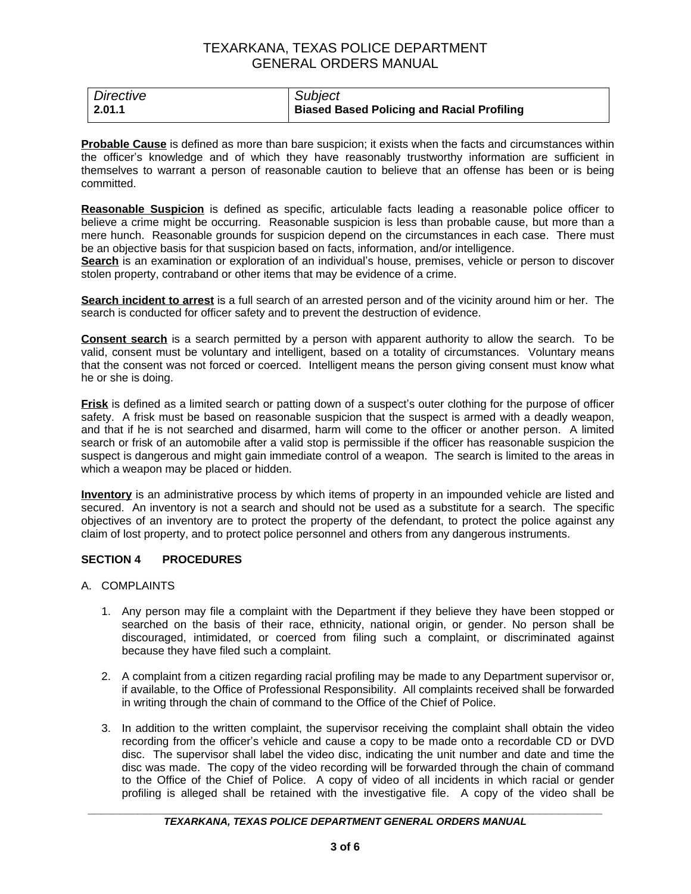| Directive | Subject                                           |
|-----------|---------------------------------------------------|
| 2.01.1    | <b>Biased Based Policing and Racial Profiling</b> |

**Probable Cause** is defined as more than bare suspicion; it exists when the facts and circumstances within the officer's knowledge and of which they have reasonably trustworthy information are sufficient in themselves to warrant a person of reasonable caution to believe that an offense has been or is being committed.

**Reasonable Suspicion** is defined as specific, articulable facts leading a reasonable police officer to believe a crime might be occurring. Reasonable suspicion is less than probable cause, but more than a mere hunch. Reasonable grounds for suspicion depend on the circumstances in each case. There must be an objective basis for that suspicion based on facts, information, and/or intelligence.

**Search** is an examination or exploration of an individual's house, premises, vehicle or person to discover stolen property, contraband or other items that may be evidence of a crime.

**Search incident to arrest** is a full search of an arrested person and of the vicinity around him or her. The search is conducted for officer safety and to prevent the destruction of evidence.

**Consent search** is a search permitted by a person with apparent authority to allow the search. To be valid, consent must be voluntary and intelligent, based on a totality of circumstances. Voluntary means that the consent was not forced or coerced. Intelligent means the person giving consent must know what he or she is doing.

**Frisk** is defined as a limited search or patting down of a suspect's outer clothing for the purpose of officer safety. A frisk must be based on reasonable suspicion that the suspect is armed with a deadly weapon, and that if he is not searched and disarmed, harm will come to the officer or another person. A limited search or frisk of an automobile after a valid stop is permissible if the officer has reasonable suspicion the suspect is dangerous and might gain immediate control of a weapon. The search is limited to the areas in which a weapon may be placed or hidden.

**Inventory** is an administrative process by which items of property in an impounded vehicle are listed and secured. An inventory is not a search and should not be used as a substitute for a search. The specific objectives of an inventory are to protect the property of the defendant, to protect the police against any claim of lost property, and to protect police personnel and others from any dangerous instruments.

### **SECTION 4 PROCEDURES**

- A. COMPLAINTS
	- 1. Any person may file a complaint with the Department if they believe they have been stopped or searched on the basis of their race, ethnicity, national origin, or gender. No person shall be discouraged, intimidated, or coerced from filing such a complaint, or discriminated against because they have filed such a complaint.
	- 2. A complaint from a citizen regarding racial profiling may be made to any Department supervisor or, if available, to the Office of Professional Responsibility. All complaints received shall be forwarded in writing through the chain of command to the Office of the Chief of Police.
	- 3. In addition to the written complaint, the supervisor receiving the complaint shall obtain the video recording from the officer's vehicle and cause a copy to be made onto a recordable CD or DVD disc. The supervisor shall label the video disc, indicating the unit number and date and time the disc was made. The copy of the video recording will be forwarded through the chain of command to the Office of the Chief of Police. A copy of video of all incidents in which racial or gender profiling is alleged shall be retained with the investigative file. A copy of the video shall be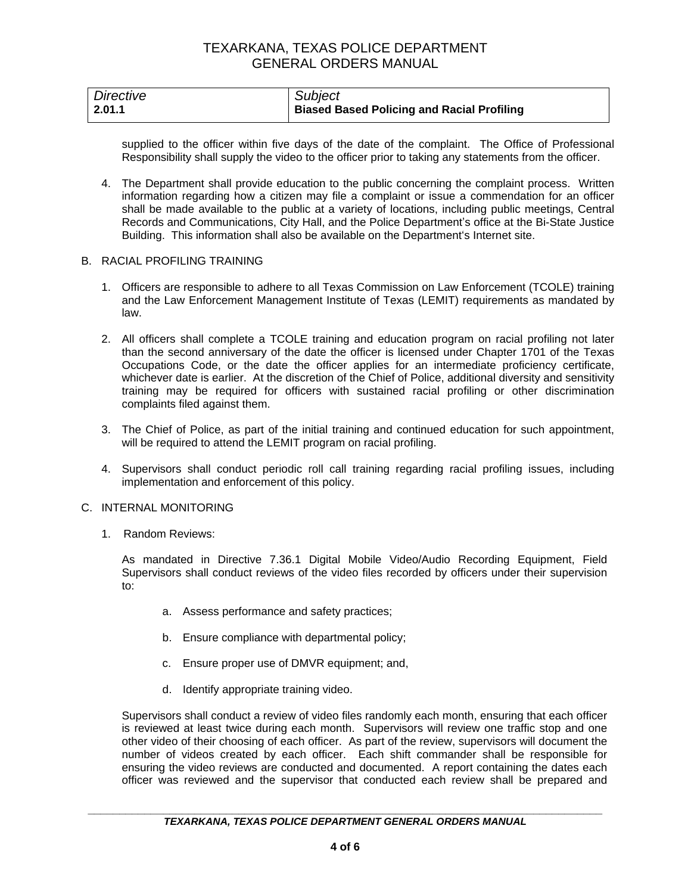| Directive      | Subject                                           |
|----------------|---------------------------------------------------|
| $\vert$ 2.01.1 | <b>Biased Based Policing and Racial Profiling</b> |

supplied to the officer within five days of the date of the complaint. The Office of Professional Responsibility shall supply the video to the officer prior to taking any statements from the officer.

4. The Department shall provide education to the public concerning the complaint process. Written information regarding how a citizen may file a complaint or issue a commendation for an officer shall be made available to the public at a variety of locations, including public meetings, Central Records and Communications, City Hall, and the Police Department's office at the Bi-State Justice Building. This information shall also be available on the Department's Internet site.

#### B. RACIAL PROFILING TRAINING

- 1. Officers are responsible to adhere to all Texas Commission on Law Enforcement (TCOLE) training and the Law Enforcement Management Institute of Texas (LEMIT) requirements as mandated by law.
- 2. All officers shall complete a TCOLE training and education program on racial profiling not later than the second anniversary of the date the officer is licensed under Chapter 1701 of the Texas Occupations Code, or the date the officer applies for an intermediate proficiency certificate, whichever date is earlier. At the discretion of the Chief of Police, additional diversity and sensitivity training may be required for officers with sustained racial profiling or other discrimination complaints filed against them.
- 3. The Chief of Police, as part of the initial training and continued education for such appointment, will be required to attend the LEMIT program on racial profiling.
- 4. Supervisors shall conduct periodic roll call training regarding racial profiling issues, including implementation and enforcement of this policy.

#### C. INTERNAL MONITORING

1. Random Reviews:

As mandated in Directive 7.36.1 Digital Mobile Video/Audio Recording Equipment, Field Supervisors shall conduct reviews of the video files recorded by officers under their supervision to:

- a. Assess performance and safety practices;
- b. Ensure compliance with departmental policy;
- c. Ensure proper use of DMVR equipment; and,
- d. Identify appropriate training video.

Supervisors shall conduct a review of video files randomly each month, ensuring that each officer is reviewed at least twice during each month. Supervisors will review one traffic stop and one other video of their choosing of each officer. As part of the review, supervisors will document the number of videos created by each officer. Each shift commander shall be responsible for ensuring the video reviews are conducted and documented. A report containing the dates each officer was reviewed and the supervisor that conducted each review shall be prepared and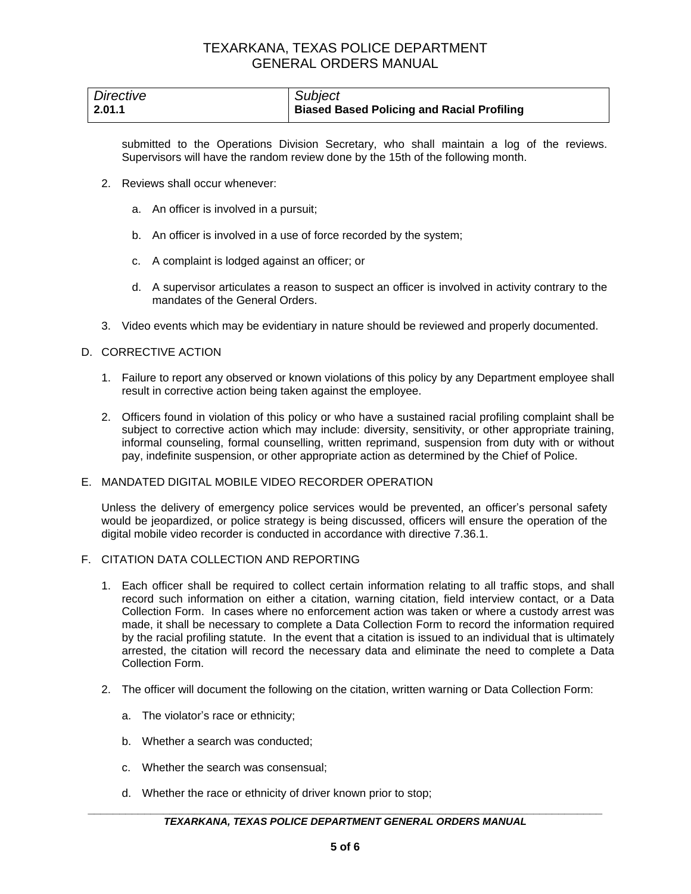| Directive | Subject                                    |
|-----------|--------------------------------------------|
| 2.01.1    | Biased Based Policing and Racial Profiling |

submitted to the Operations Division Secretary, who shall maintain a log of the reviews. Supervisors will have the random review done by the 15th of the following month.

- 2. Reviews shall occur whenever:
	- a. An officer is involved in a pursuit;
	- b. An officer is involved in a use of force recorded by the system;
	- c. A complaint is lodged against an officer; or
	- d. A supervisor articulates a reason to suspect an officer is involved in activity contrary to the mandates of the General Orders.
- 3. Video events which may be evidentiary in nature should be reviewed and properly documented.

### D. CORRECTIVE ACTION

- 1. Failure to report any observed or known violations of this policy by any Department employee shall result in corrective action being taken against the employee.
- 2. Officers found in violation of this policy or who have a sustained racial profiling complaint shall be subject to corrective action which may include: diversity, sensitivity, or other appropriate training, informal counseling, formal counselling, written reprimand, suspension from duty with or without pay, indefinite suspension, or other appropriate action as determined by the Chief of Police.

#### E. MANDATED DIGITAL MOBILE VIDEO RECORDER OPERATION

Unless the delivery of emergency police services would be prevented, an officer's personal safety would be jeopardized, or police strategy is being discussed, officers will ensure the operation of the digital mobile video recorder is conducted in accordance with directive 7.36.1.

- F. CITATION DATA COLLECTION AND REPORTING
	- 1. Each officer shall be required to collect certain information relating to all traffic stops, and shall record such information on either a citation, warning citation, field interview contact, or a Data Collection Form. In cases where no enforcement action was taken or where a custody arrest was made, it shall be necessary to complete a Data Collection Form to record the information required by the racial profiling statute. In the event that a citation is issued to an individual that is ultimately arrested, the citation will record the necessary data and eliminate the need to complete a Data Collection Form.
	- 2. The officer will document the following on the citation, written warning or Data Collection Form:
		- a. The violator's race or ethnicity;
		- b. Whether a search was conducted;
		- c. Whether the search was consensual;
		- d. Whether the race or ethnicity of driver known prior to stop;